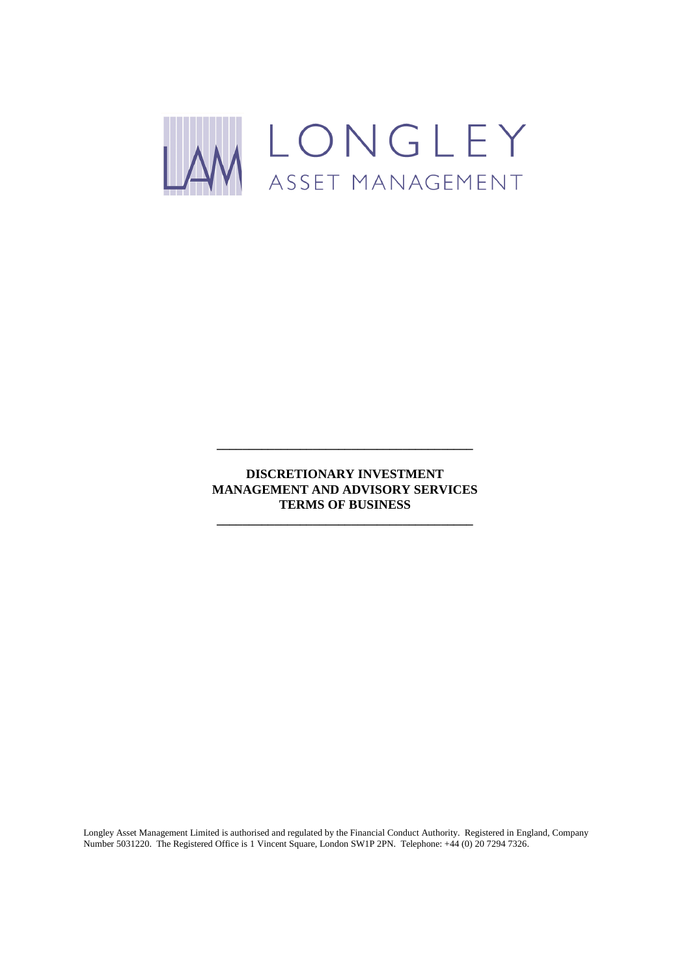

**DISCRETIONARY INVESTMENT MANAGEMENT AND ADVISORY SERVICES TERMS OF BUSINESS**

**\_\_\_\_\_\_\_\_\_\_\_\_\_\_\_\_\_\_\_\_\_\_\_\_\_\_\_\_\_\_\_\_\_\_\_\_\_\_\_\_**

**\_\_\_\_\_\_\_\_\_\_\_\_\_\_\_\_\_\_\_\_\_\_\_\_\_\_\_\_\_\_\_\_\_\_\_\_\_\_\_\_**

Longley Asset Management Limited is authorised and regulated by the Financial Conduct Authority. Registered in England, Company Number 5031220. The Registered Office is 1 Vincent Square, London SW1P 2PN. Telephone: +44 (0) 20 7294 7326.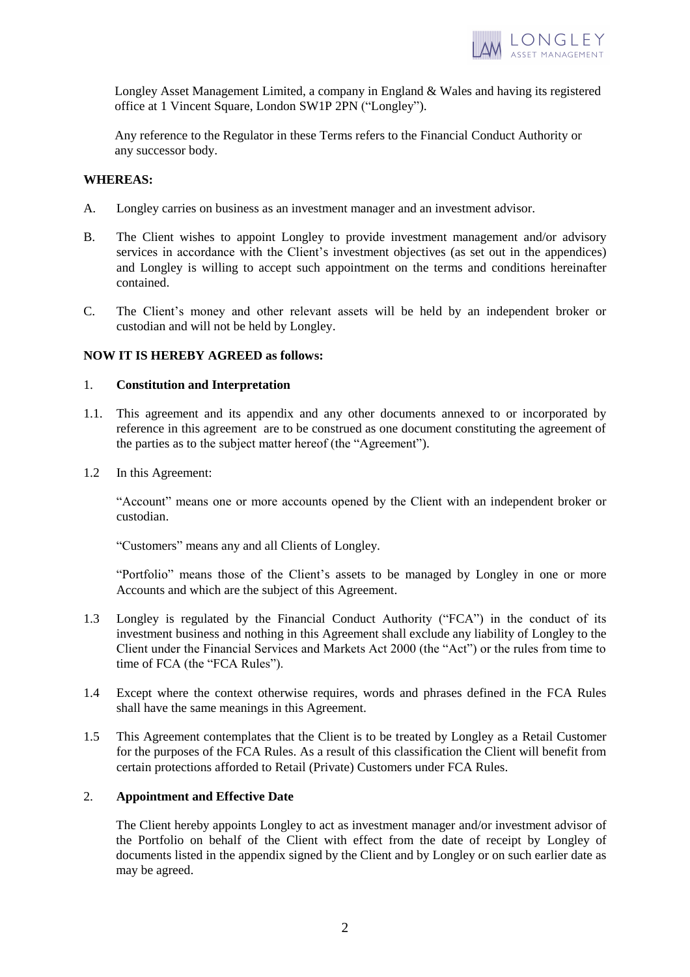

Longley Asset Management Limited, a company in England & Wales and having its registered office at 1 Vincent Square, London SW1P 2PN ("Longley").

Any reference to the Regulator in these Terms refers to the Financial Conduct Authority or any successor body.

## **WHEREAS:**

- A. Longley carries on business as an investment manager and an investment advisor.
- B. The Client wishes to appoint Longley to provide investment management and/or advisory services in accordance with the Client's investment objectives (as set out in the appendices) and Longley is willing to accept such appointment on the terms and conditions hereinafter contained.
- C. The Client's money and other relevant assets will be held by an independent broker or custodian and will not be held by Longley.

## **NOW IT IS HEREBY AGREED as follows:**

### 1. **Constitution and Interpretation**

- 1.1. This agreement and its appendix and any other documents annexed to or incorporated by reference in this agreement are to be construed as one document constituting the agreement of the parties as to the subject matter hereof (the "Agreement").
- 1.2 In this Agreement:

"Account" means one or more accounts opened by the Client with an independent broker or custodian.

"Customers" means any and all Clients of Longley.

"Portfolio" means those of the Client's assets to be managed by Longley in one or more Accounts and which are the subject of this Agreement.

- 1.3 Longley is regulated by the Financial Conduct Authority ("FCA") in the conduct of its investment business and nothing in this Agreement shall exclude any liability of Longley to the Client under the Financial Services and Markets Act 2000 (the "Act") or the rules from time to time of FCA (the "FCA Rules").
- 1.4 Except where the context otherwise requires, words and phrases defined in the FCA Rules shall have the same meanings in this Agreement.
- 1.5 This Agreement contemplates that the Client is to be treated by Longley as a Retail Customer for the purposes of the FCA Rules. As a result of this classification the Client will benefit from certain protections afforded to Retail (Private) Customers under FCA Rules.

## 2. **Appointment and Effective Date**

The Client hereby appoints Longley to act as investment manager and/or investment advisor of the Portfolio on behalf of the Client with effect from the date of receipt by Longley of documents listed in the appendix signed by the Client and by Longley or on such earlier date as may be agreed.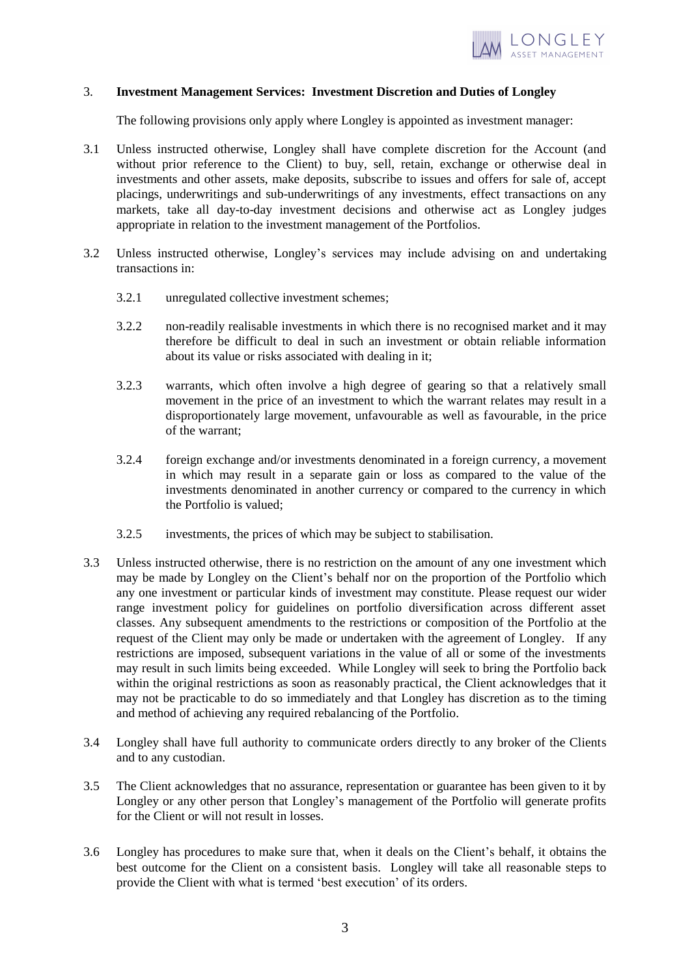

### 3. **Investment Management Services: Investment Discretion and Duties of Longley**

The following provisions only apply where Longley is appointed as investment manager:

- 3.1 Unless instructed otherwise, Longley shall have complete discretion for the Account (and without prior reference to the Client) to buy, sell, retain, exchange or otherwise deal in investments and other assets, make deposits, subscribe to issues and offers for sale of, accept placings, underwritings and sub-underwritings of any investments, effect transactions on any markets, take all day-to-day investment decisions and otherwise act as Longley judges appropriate in relation to the investment management of the Portfolios.
- 3.2 Unless instructed otherwise, Longley's services may include advising on and undertaking transactions in:
	- 3.2.1 unregulated collective investment schemes;
	- 3.2.2 non-readily realisable investments in which there is no recognised market and it may therefore be difficult to deal in such an investment or obtain reliable information about its value or risks associated with dealing in it;
	- 3.2.3 warrants, which often involve a high degree of gearing so that a relatively small movement in the price of an investment to which the warrant relates may result in a disproportionately large movement, unfavourable as well as favourable, in the price of the warrant;
	- 3.2.4 foreign exchange and/or investments denominated in a foreign currency, a movement in which may result in a separate gain or loss as compared to the value of the investments denominated in another currency or compared to the currency in which the Portfolio is valued;
	- 3.2.5 investments, the prices of which may be subject to stabilisation.
- 3.3 Unless instructed otherwise, there is no restriction on the amount of any one investment which may be made by Longley on the Client's behalf nor on the proportion of the Portfolio which any one investment or particular kinds of investment may constitute. Please request our wider range investment policy for guidelines on portfolio diversification across different asset classes. Any subsequent amendments to the restrictions or composition of the Portfolio at the request of the Client may only be made or undertaken with the agreement of Longley. If any restrictions are imposed, subsequent variations in the value of all or some of the investments may result in such limits being exceeded. While Longley will seek to bring the Portfolio back within the original restrictions as soon as reasonably practical, the Client acknowledges that it may not be practicable to do so immediately and that Longley has discretion as to the timing and method of achieving any required rebalancing of the Portfolio.
- 3.4 Longley shall have full authority to communicate orders directly to any broker of the Clients and to any custodian.
- 3.5 The Client acknowledges that no assurance, representation or guarantee has been given to it by Longley or any other person that Longley's management of the Portfolio will generate profits for the Client or will not result in losses.
- 3.6 Longley has procedures to make sure that, when it deals on the Client's behalf, it obtains the best outcome for the Client on a consistent basis. Longley will take all reasonable steps to provide the Client with what is termed 'best execution' of its orders.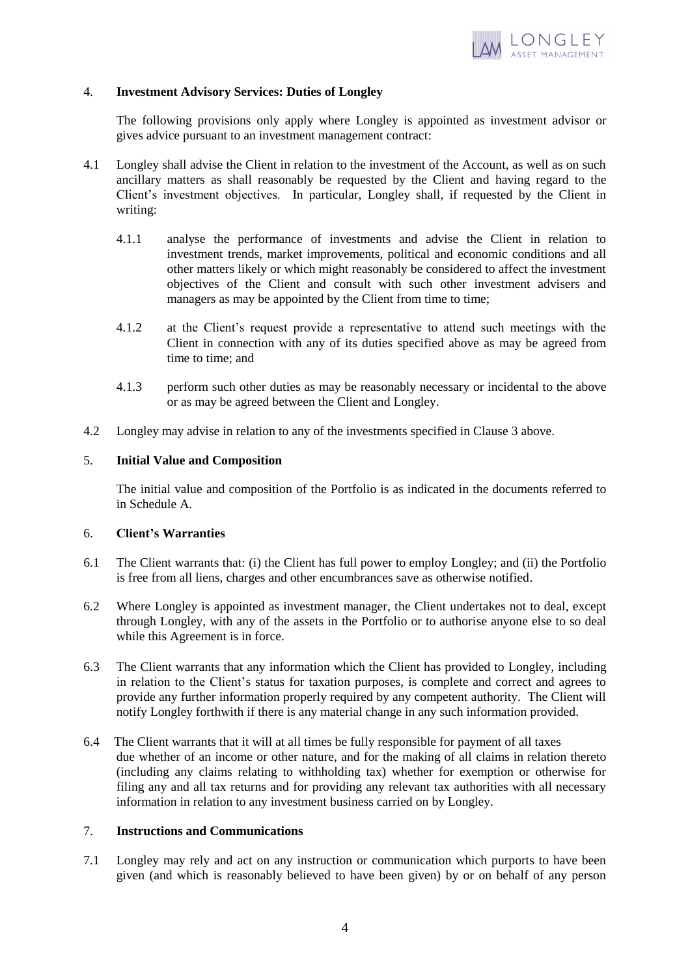

## 4. **Investment Advisory Services: Duties of Longley**

The following provisions only apply where Longley is appointed as investment advisor or gives advice pursuant to an investment management contract:

- 4.1 Longley shall advise the Client in relation to the investment of the Account, as well as on such ancillary matters as shall reasonably be requested by the Client and having regard to the Client's investment objectives. In particular, Longley shall, if requested by the Client in writing:
	- 4.1.1 analyse the performance of investments and advise the Client in relation to investment trends, market improvements, political and economic conditions and all other matters likely or which might reasonably be considered to affect the investment objectives of the Client and consult with such other investment advisers and managers as may be appointed by the Client from time to time;
	- 4.1.2 at the Client's request provide a representative to attend such meetings with the Client in connection with any of its duties specified above as may be agreed from time to time; and
	- 4.1.3 perform such other duties as may be reasonably necessary or incidental to the above or as may be agreed between the Client and Longley.
- 4.2 Longley may advise in relation to any of the investments specified in Clause 3 above.

### 5. **Initial Value and Composition**

The initial value and composition of the Portfolio is as indicated in the documents referred to in Schedule A.

### 6. **Client's Warranties**

- 6.1 The Client warrants that: (i) the Client has full power to employ Longley; and (ii) the Portfolio is free from all liens, charges and other encumbrances save as otherwise notified.
- 6.2 Where Longley is appointed as investment manager, the Client undertakes not to deal, except through Longley, with any of the assets in the Portfolio or to authorise anyone else to so deal while this Agreement is in force.
- 6.3 The Client warrants that any information which the Client has provided to Longley, including in relation to the Client's status for taxation purposes, is complete and correct and agrees to provide any further information properly required by any competent authority. The Client will notify Longley forthwith if there is any material change in any such information provided.
- 6.4 The Client warrants that it will at all times be fully responsible for payment of all taxes due whether of an income or other nature, and for the making of all claims in relation thereto (including any claims relating to withholding tax) whether for exemption or otherwise for filing any and all tax returns and for providing any relevant tax authorities with all necessary information in relation to any investment business carried on by Longley.

## 7. **Instructions and Communications**

7.1 Longley may rely and act on any instruction or communication which purports to have been given (and which is reasonably believed to have been given) by or on behalf of any person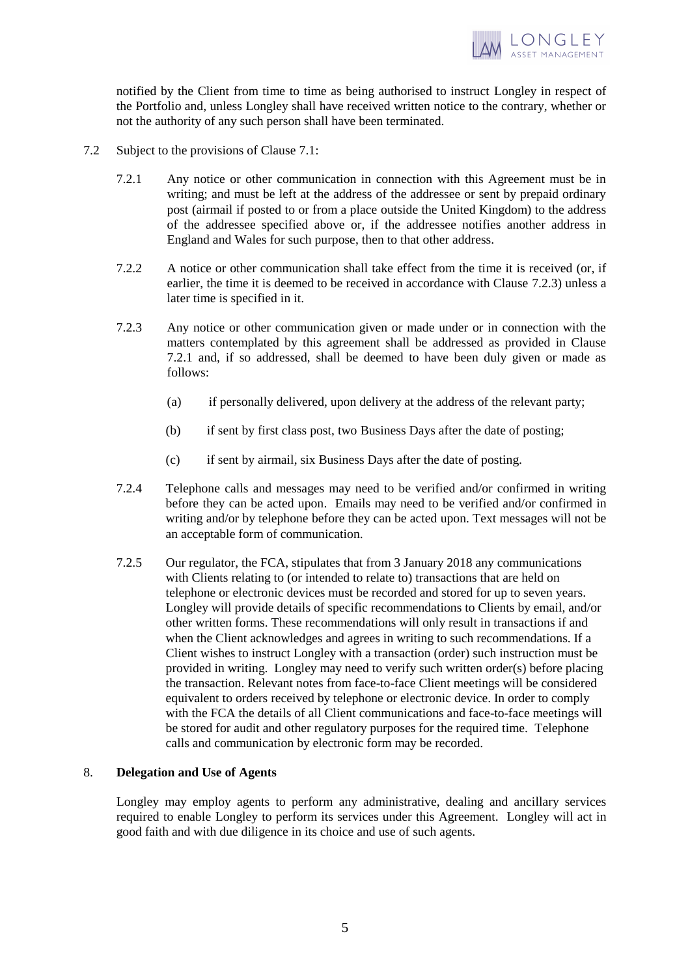

notified by the Client from time to time as being authorised to instruct Longley in respect of the Portfolio and, unless Longley shall have received written notice to the contrary, whether or not the authority of any such person shall have been terminated.

- 7.2 Subject to the provisions of Clause 7.1:
	- 7.2.1 Any notice or other communication in connection with this Agreement must be in writing; and must be left at the address of the addressee or sent by prepaid ordinary post (airmail if posted to or from a place outside the United Kingdom) to the address of the addressee specified above or, if the addressee notifies another address in England and Wales for such purpose, then to that other address.
	- 7.2.2 A notice or other communication shall take effect from the time it is received (or, if earlier, the time it is deemed to be received in accordance with Clause 7.2.3) unless a later time is specified in it.
	- 7.2.3 Any notice or other communication given or made under or in connection with the matters contemplated by this agreement shall be addressed as provided in Clause 7.2.1 and, if so addressed, shall be deemed to have been duly given or made as follows:
		- (a) if personally delivered, upon delivery at the address of the relevant party;
		- (b) if sent by first class post, two Business Days after the date of posting;
		- (c) if sent by airmail, six Business Days after the date of posting.
	- 7.2.4 Telephone calls and messages may need to be verified and/or confirmed in writing before they can be acted upon. Emails may need to be verified and/or confirmed in writing and/or by telephone before they can be acted upon. Text messages will not be an acceptable form of communication.
	- 7.2.5 Our regulator, the FCA, stipulates that from 3 January 2018 any communications with Clients relating to (or intended to relate to) transactions that are held on telephone or electronic devices must be recorded and stored for up to seven years. Longley will provide details of specific recommendations to Clients by email, and/or other written forms. These recommendations will only result in transactions if and when the Client acknowledges and agrees in writing to such recommendations. If a Client wishes to instruct Longley with a transaction (order) such instruction must be provided in writing. Longley may need to verify such written order(s) before placing the transaction. Relevant notes from face-to-face Client meetings will be considered equivalent to orders received by telephone or electronic device. In order to comply with the FCA the details of all Client communications and face-to-face meetings will be stored for audit and other regulatory purposes for the required time. Telephone calls and communication by electronic form may be recorded.

## 8. **Delegation and Use of Agents**

Longley may employ agents to perform any administrative, dealing and ancillary services required to enable Longley to perform its services under this Agreement. Longley will act in good faith and with due diligence in its choice and use of such agents.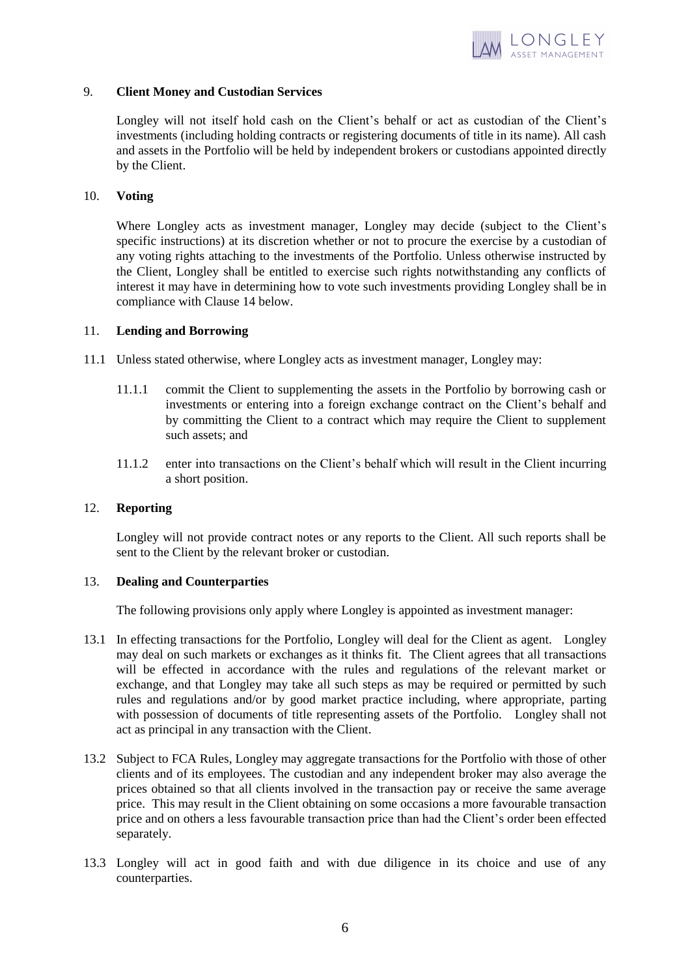

### 9. **Client Money and Custodian Services**

Longley will not itself hold cash on the Client's behalf or act as custodian of the Client's investments (including holding contracts or registering documents of title in its name). All cash and assets in the Portfolio will be held by independent brokers or custodians appointed directly by the Client.

### 10. **Voting**

Where Longley acts as investment manager, Longley may decide (subject to the Client's specific instructions) at its discretion whether or not to procure the exercise by a custodian of any voting rights attaching to the investments of the Portfolio. Unless otherwise instructed by the Client, Longley shall be entitled to exercise such rights notwithstanding any conflicts of interest it may have in determining how to vote such investments providing Longley shall be in compliance with Clause 14 below.

### 11. **Lending and Borrowing**

- 11.1 Unless stated otherwise, where Longley acts as investment manager, Longley may:
	- 11.1.1 commit the Client to supplementing the assets in the Portfolio by borrowing cash or investments or entering into a foreign exchange contract on the Client's behalf and by committing the Client to a contract which may require the Client to supplement such assets; and
	- 11.1.2 enter into transactions on the Client's behalf which will result in the Client incurring a short position.

#### 12. **Reporting**

Longley will not provide contract notes or any reports to the Client. All such reports shall be sent to the Client by the relevant broker or custodian.

## 13. **Dealing and Counterparties**

The following provisions only apply where Longley is appointed as investment manager:

- 13.1 In effecting transactions for the Portfolio, Longley will deal for the Client as agent. Longley may deal on such markets or exchanges as it thinks fit. The Client agrees that all transactions will be effected in accordance with the rules and regulations of the relevant market or exchange, and that Longley may take all such steps as may be required or permitted by such rules and regulations and/or by good market practice including, where appropriate, parting with possession of documents of title representing assets of the Portfolio. Longley shall not act as principal in any transaction with the Client.
- 13.2 Subject to FCA Rules, Longley may aggregate transactions for the Portfolio with those of other clients and of its employees. The custodian and any independent broker may also average the prices obtained so that all clients involved in the transaction pay or receive the same average price. This may result in the Client obtaining on some occasions a more favourable transaction price and on others a less favourable transaction price than had the Client's order been effected separately.
- 13.3 Longley will act in good faith and with due diligence in its choice and use of any counterparties.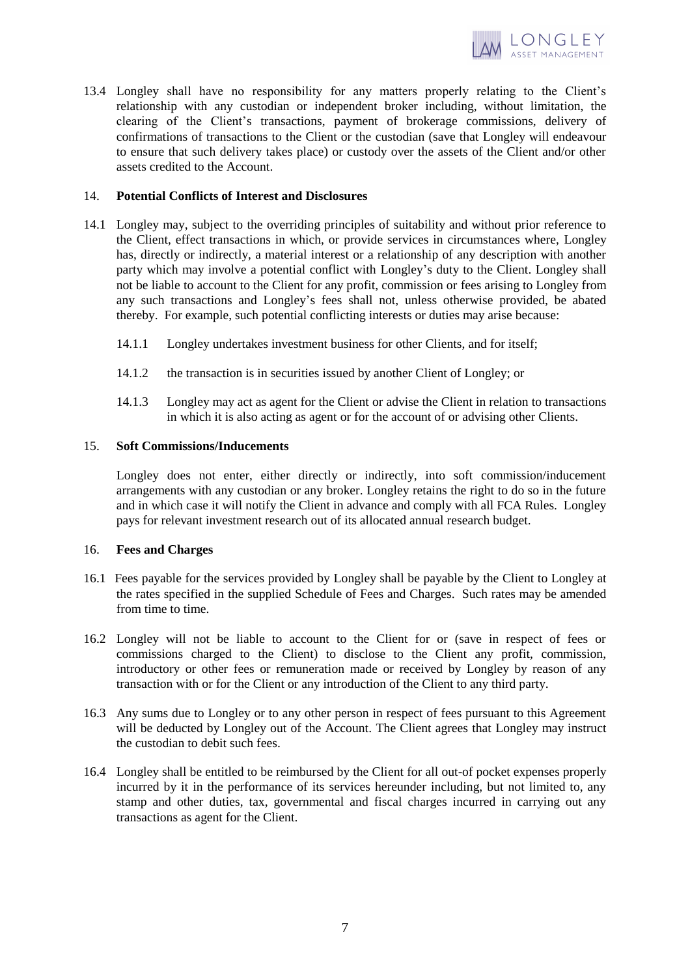

13.4 Longley shall have no responsibility for any matters properly relating to the Client's relationship with any custodian or independent broker including, without limitation, the clearing of the Client's transactions, payment of brokerage commissions, delivery of confirmations of transactions to the Client or the custodian (save that Longley will endeavour to ensure that such delivery takes place) or custody over the assets of the Client and/or other assets credited to the Account.

## 14. **Potential Conflicts of Interest and Disclosures**

- 14.1 Longley may, subject to the overriding principles of suitability and without prior reference to the Client, effect transactions in which, or provide services in circumstances where, Longley has, directly or indirectly, a material interest or a relationship of any description with another party which may involve a potential conflict with Longley's duty to the Client. Longley shall not be liable to account to the Client for any profit, commission or fees arising to Longley from any such transactions and Longley's fees shall not, unless otherwise provided, be abated thereby. For example, such potential conflicting interests or duties may arise because:
	- 14.1.1 Longley undertakes investment business for other Clients, and for itself;
	- 14.1.2 the transaction is in securities issued by another Client of Longley; or
	- 14.1.3 Longley may act as agent for the Client or advise the Client in relation to transactions in which it is also acting as agent or for the account of or advising other Clients.

## 15. **Soft Commissions/Inducements**

Longley does not enter, either directly or indirectly, into soft commission/inducement arrangements with any custodian or any broker. Longley retains the right to do so in the future and in which case it will notify the Client in advance and comply with all FCA Rules. Longley pays for relevant investment research out of its allocated annual research budget.

## 16. **Fees and Charges**

- 16.1 Fees payable for the services provided by Longley shall be payable by the Client to Longley at the rates specified in the supplied Schedule of Fees and Charges. Such rates may be amended from time to time.
- 16.2 Longley will not be liable to account to the Client for or (save in respect of fees or commissions charged to the Client) to disclose to the Client any profit, commission, introductory or other fees or remuneration made or received by Longley by reason of any transaction with or for the Client or any introduction of the Client to any third party.
- 16.3 Any sums due to Longley or to any other person in respect of fees pursuant to this Agreement will be deducted by Longley out of the Account. The Client agrees that Longley may instruct the custodian to debit such fees.
- 16.4 Longley shall be entitled to be reimbursed by the Client for all out-of pocket expenses properly incurred by it in the performance of its services hereunder including, but not limited to, any stamp and other duties, tax, governmental and fiscal charges incurred in carrying out any transactions as agent for the Client.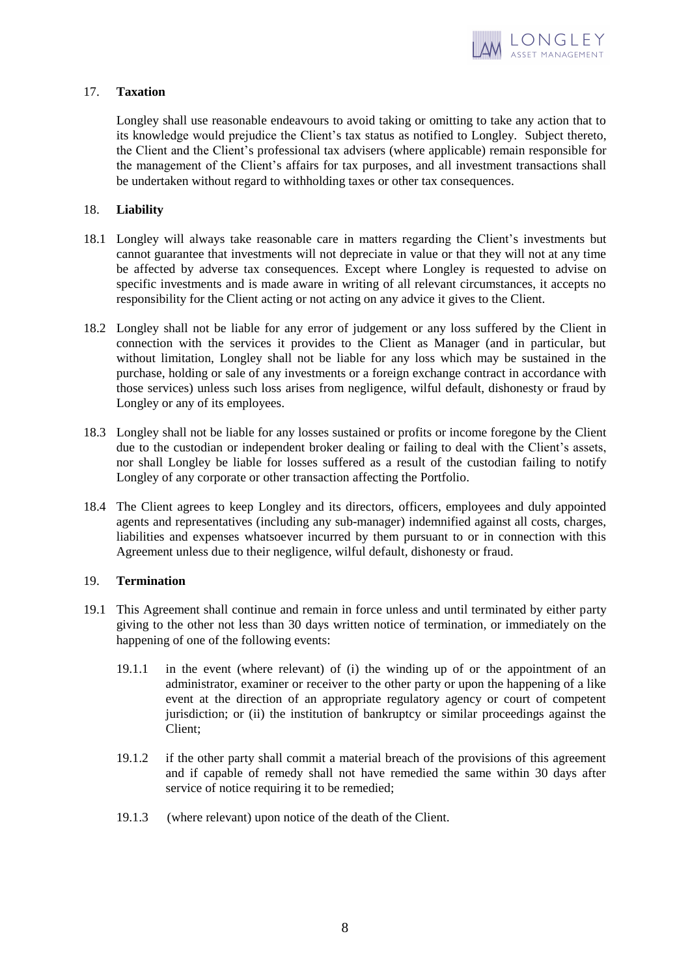

## 17. **Taxation**

Longley shall use reasonable endeavours to avoid taking or omitting to take any action that to its knowledge would prejudice the Client's tax status as notified to Longley. Subject thereto, the Client and the Client's professional tax advisers (where applicable) remain responsible for the management of the Client's affairs for tax purposes, and all investment transactions shall be undertaken without regard to withholding taxes or other tax consequences.

## 18. **Liability**

- 18.1 Longley will always take reasonable care in matters regarding the Client's investments but cannot guarantee that investments will not depreciate in value or that they will not at any time be affected by adverse tax consequences. Except where Longley is requested to advise on specific investments and is made aware in writing of all relevant circumstances, it accepts no responsibility for the Client acting or not acting on any advice it gives to the Client.
- 18.2 Longley shall not be liable for any error of judgement or any loss suffered by the Client in connection with the services it provides to the Client as Manager (and in particular, but without limitation, Longley shall not be liable for any loss which may be sustained in the purchase, holding or sale of any investments or a foreign exchange contract in accordance with those services) unless such loss arises from negligence, wilful default, dishonesty or fraud by Longley or any of its employees.
- 18.3 Longley shall not be liable for any losses sustained or profits or income foregone by the Client due to the custodian or independent broker dealing or failing to deal with the Client's assets, nor shall Longley be liable for losses suffered as a result of the custodian failing to notify Longley of any corporate or other transaction affecting the Portfolio.
- 18.4 The Client agrees to keep Longley and its directors, officers, employees and duly appointed agents and representatives (including any sub-manager) indemnified against all costs, charges, liabilities and expenses whatsoever incurred by them pursuant to or in connection with this Agreement unless due to their negligence, wilful default, dishonesty or fraud.

## 19. **Termination**

- 19.1 This Agreement shall continue and remain in force unless and until terminated by either party giving to the other not less than 30 days written notice of termination, or immediately on the happening of one of the following events:
	- 19.1.1 in the event (where relevant) of (i) the winding up of or the appointment of an administrator, examiner or receiver to the other party or upon the happening of a like event at the direction of an appropriate regulatory agency or court of competent jurisdiction; or (ii) the institution of bankruptcy or similar proceedings against the Client;
	- 19.1.2 if the other party shall commit a material breach of the provisions of this agreement and if capable of remedy shall not have remedied the same within 30 days after service of notice requiring it to be remedied;
	- 19.1.3 (where relevant) upon notice of the death of the Client.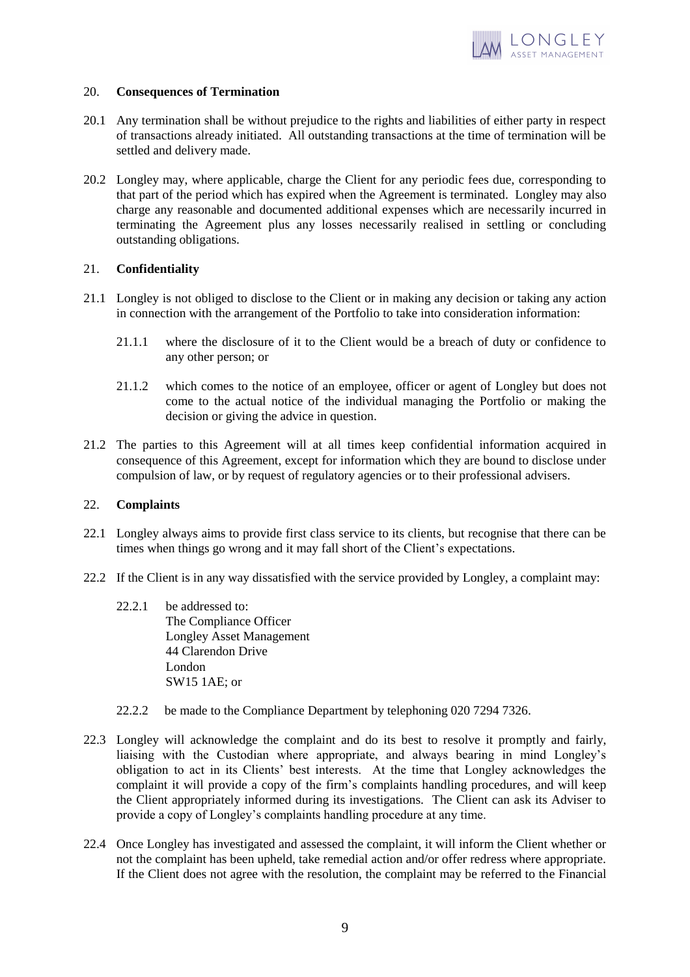

### 20. **Consequences of Termination**

- 20.1 Any termination shall be without prejudice to the rights and liabilities of either party in respect of transactions already initiated. All outstanding transactions at the time of termination will be settled and delivery made.
- 20.2 Longley may, where applicable, charge the Client for any periodic fees due, corresponding to that part of the period which has expired when the Agreement is terminated. Longley may also charge any reasonable and documented additional expenses which are necessarily incurred in terminating the Agreement plus any losses necessarily realised in settling or concluding outstanding obligations.

# 21. **Confidentiality**

- 21.1 Longley is not obliged to disclose to the Client or in making any decision or taking any action in connection with the arrangement of the Portfolio to take into consideration information:
	- 21.1.1 where the disclosure of it to the Client would be a breach of duty or confidence to any other person; or
	- 21.1.2 which comes to the notice of an employee, officer or agent of Longley but does not come to the actual notice of the individual managing the Portfolio or making the decision or giving the advice in question.
- 21.2 The parties to this Agreement will at all times keep confidential information acquired in consequence of this Agreement, except for information which they are bound to disclose under compulsion of law, or by request of regulatory agencies or to their professional advisers.

## 22. **Complaints**

- 22.1 Longley always aims to provide first class service to its clients, but recognise that there can be times when things go wrong and it may fall short of the Client's expectations.
- 22.2 If the Client is in any way dissatisfied with the service provided by Longley, a complaint may:
	- 22.2.1 be addressed to: The Compliance Officer Longley Asset Management 44 Clarendon Drive London  $SW15$  1AE; or
	- 22.2.2 be made to the Compliance Department by telephoning 020 7294 7326.
- 22.3 Longley will acknowledge the complaint and do its best to resolve it promptly and fairly, liaising with the Custodian where appropriate, and always bearing in mind Longley's obligation to act in its Clients' best interests. At the time that Longley acknowledges the complaint it will provide a copy of the firm's complaints handling procedures, and will keep the Client appropriately informed during its investigations. The Client can ask its Adviser to provide a copy of Longley's complaints handling procedure at any time.
- 22.4 Once Longley has investigated and assessed the complaint, it will inform the Client whether or not the complaint has been upheld, take remedial action and/or offer redress where appropriate. If the Client does not agree with the resolution, the complaint may be referred to the Financial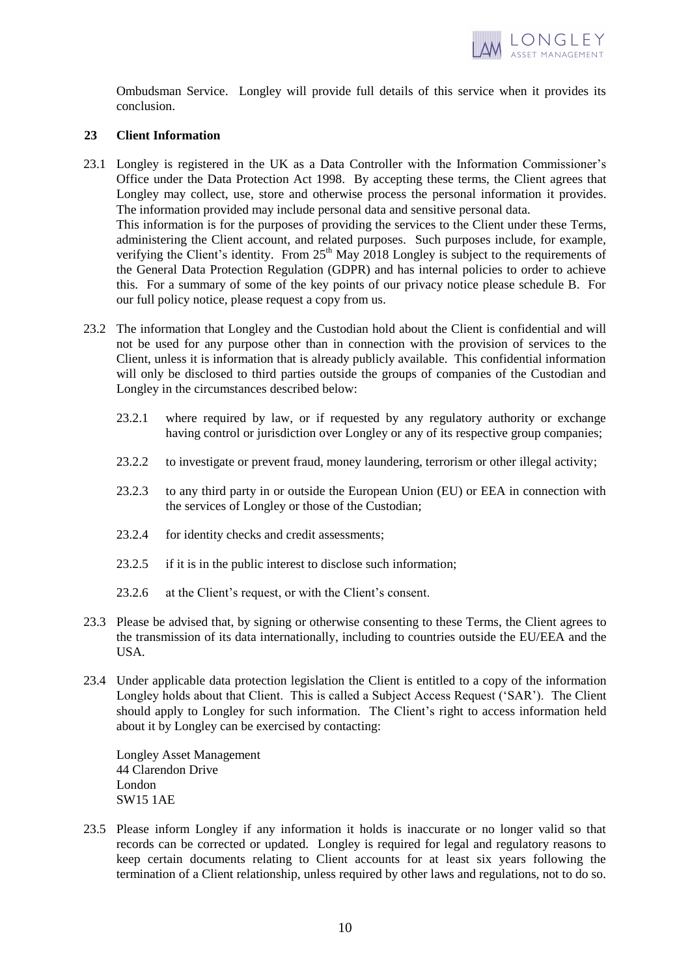

Ombudsman Service. Longley will provide full details of this service when it provides its conclusion.

### **23 Client Information**

- 23.1 Longley is registered in the UK as a Data Controller with the Information Commissioner's Office under the Data Protection Act 1998. By accepting these terms, the Client agrees that Longley may collect, use, store and otherwise process the personal information it provides. The information provided may include personal data and sensitive personal data. This information is for the purposes of providing the services to the Client under these Terms, administering the Client account, and related purposes. Such purposes include, for example, verifying the Client's identity. From 25<sup>th</sup> May 2018 Longley is subject to the requirements of the General Data Protection Regulation (GDPR) and has internal policies to order to achieve
- our full policy notice, please request a copy from us. 23.2 The information that Longley and the Custodian hold about the Client is confidential and will not be used for any purpose other than in connection with the provision of services to the Client, unless it is information that is already publicly available. This confidential information will only be disclosed to third parties outside the groups of companies of the Custodian and

this. For a summary of some of the key points of our privacy notice please schedule B. For

- 23.2.1 where required by law, or if requested by any regulatory authority or exchange having control or jurisdiction over Longley or any of its respective group companies;
- 23.2.2 to investigate or prevent fraud, money laundering, terrorism or other illegal activity;
- 23.2.3 to any third party in or outside the European Union (EU) or EEA in connection with the services of Longley or those of the Custodian;
- 23.2.4 for identity checks and credit assessments;

Longley in the circumstances described below:

- 23.2.5 if it is in the public interest to disclose such information;
- 23.2.6 at the Client's request, or with the Client's consent.
- 23.3 Please be advised that, by signing or otherwise consenting to these Terms, the Client agrees to the transmission of its data internationally, including to countries outside the EU/EEA and the USA.
- 23.4 Under applicable data protection legislation the Client is entitled to a copy of the information Longley holds about that Client. This is called a Subject Access Request ('SAR'). The Client should apply to Longley for such information. The Client's right to access information held about it by Longley can be exercised by contacting:

Longley Asset Management 44 Clarendon Drive London SW15 1AE

23.5 Please inform Longley if any information it holds is inaccurate or no longer valid so that records can be corrected or updated. Longley is required for legal and regulatory reasons to keep certain documents relating to Client accounts for at least six years following the termination of a Client relationship, unless required by other laws and regulations, not to do so.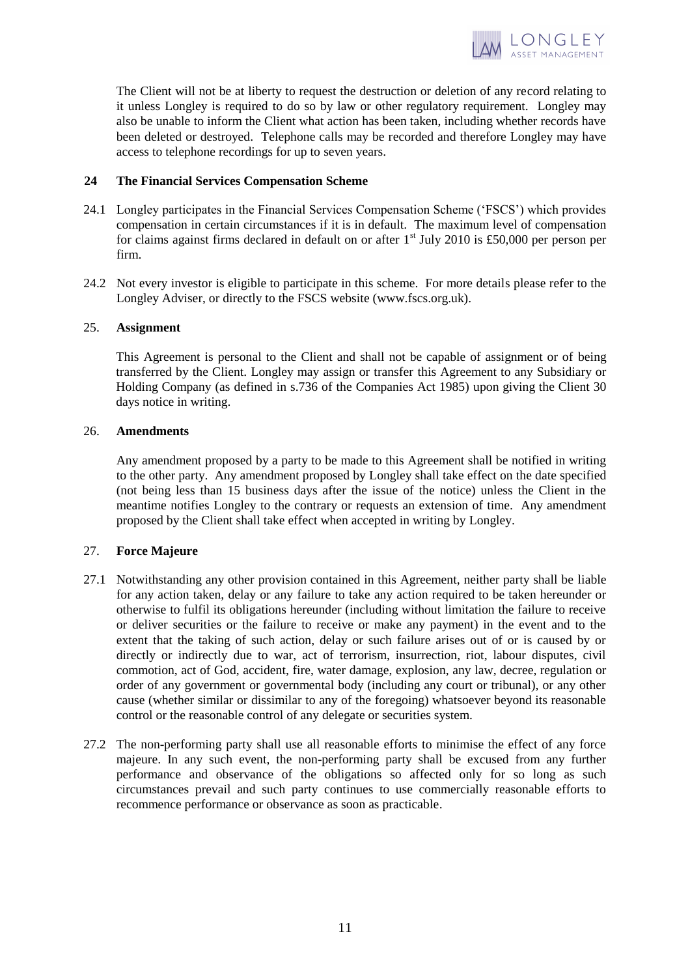

The Client will not be at liberty to request the destruction or deletion of any record relating to it unless Longley is required to do so by law or other regulatory requirement. Longley may also be unable to inform the Client what action has been taken, including whether records have been deleted or destroyed. Telephone calls may be recorded and therefore Longley may have access to telephone recordings for up to seven years.

## **24 The Financial Services Compensation Scheme**

- 24.1 Longley participates in the Financial Services Compensation Scheme ('FSCS') which provides compensation in certain circumstances if it is in default. The maximum level of compensation for claims against firms declared in default on or after  $1<sup>st</sup>$  July 2010 is £50,000 per person per firm.
- 24.2 Not every investor is eligible to participate in this scheme. For more details please refer to the Longley Adviser, or directly to the FSCS website (www.fscs.org.uk).

## 25. **Assignment**

This Agreement is personal to the Client and shall not be capable of assignment or of being transferred by the Client. Longley may assign or transfer this Agreement to any Subsidiary or Holding Company (as defined in s.736 of the Companies Act 1985) upon giving the Client 30 days notice in writing.

## 26. **Amendments**

Any amendment proposed by a party to be made to this Agreement shall be notified in writing to the other party. Any amendment proposed by Longley shall take effect on the date specified (not being less than 15 business days after the issue of the notice) unless the Client in the meantime notifies Longley to the contrary or requests an extension of time. Any amendment proposed by the Client shall take effect when accepted in writing by Longley.

## 27. **Force Majeure**

- 27.1 Notwithstanding any other provision contained in this Agreement, neither party shall be liable for any action taken, delay or any failure to take any action required to be taken hereunder or otherwise to fulfil its obligations hereunder (including without limitation the failure to receive or deliver securities or the failure to receive or make any payment) in the event and to the extent that the taking of such action, delay or such failure arises out of or is caused by or directly or indirectly due to war, act of terrorism, insurrection, riot, labour disputes, civil commotion, act of God, accident, fire, water damage, explosion, any law, decree, regulation or order of any government or governmental body (including any court or tribunal), or any other cause (whether similar or dissimilar to any of the foregoing) whatsoever beyond its reasonable control or the reasonable control of any delegate or securities system.
- 27.2 The non-performing party shall use all reasonable efforts to minimise the effect of any force majeure. In any such event, the non-performing party shall be excused from any further performance and observance of the obligations so affected only for so long as such circumstances prevail and such party continues to use commercially reasonable efforts to recommence performance or observance as soon as practicable.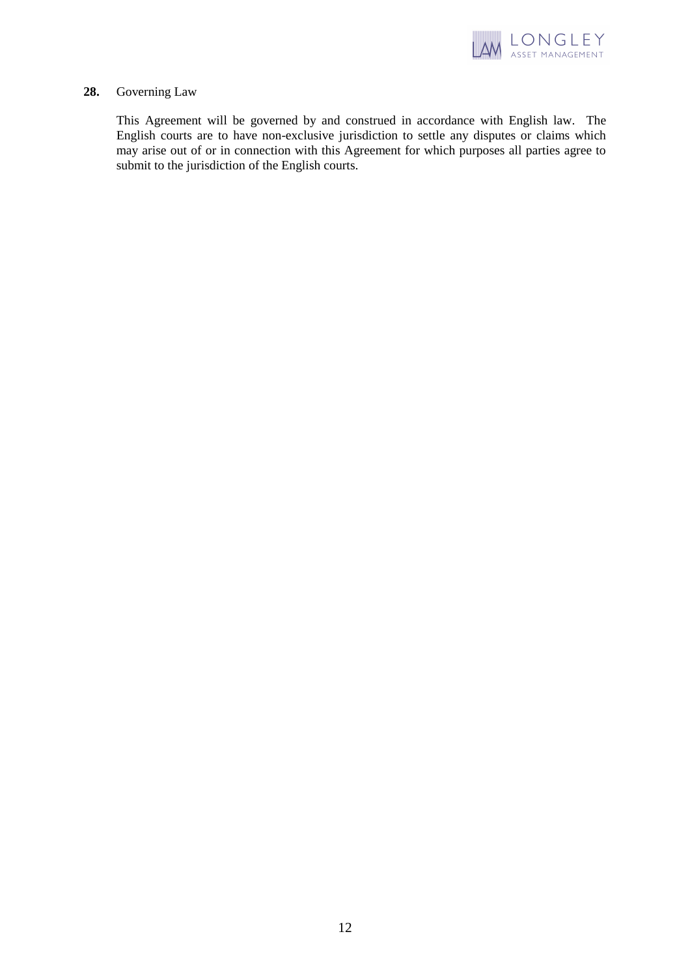

## **28.** Governing Law

This Agreement will be governed by and construed in accordance with English law. The English courts are to have non-exclusive jurisdiction to settle any disputes or claims which may arise out of or in connection with this Agreement for which purposes all parties agree to submit to the jurisdiction of the English courts.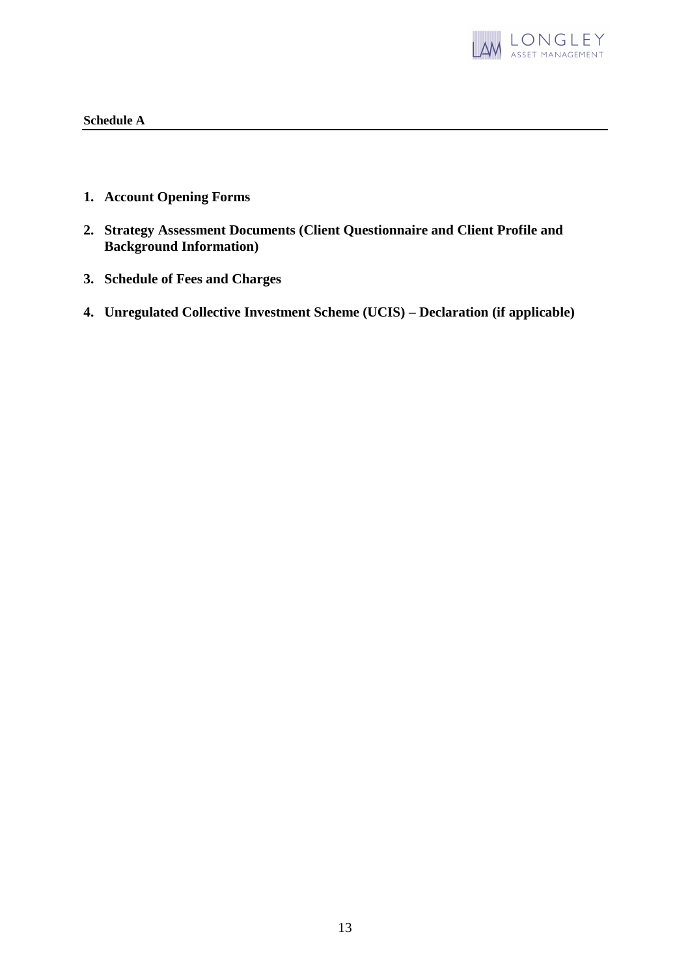

## **Schedule A**

- **1. Account Opening Forms**
- **2. Strategy Assessment Documents (Client Questionnaire and Client Profile and Background Information)**
- **3. Schedule of Fees and Charges**
- **4. Unregulated Collective Investment Scheme (UCIS) – Declaration (if applicable)**